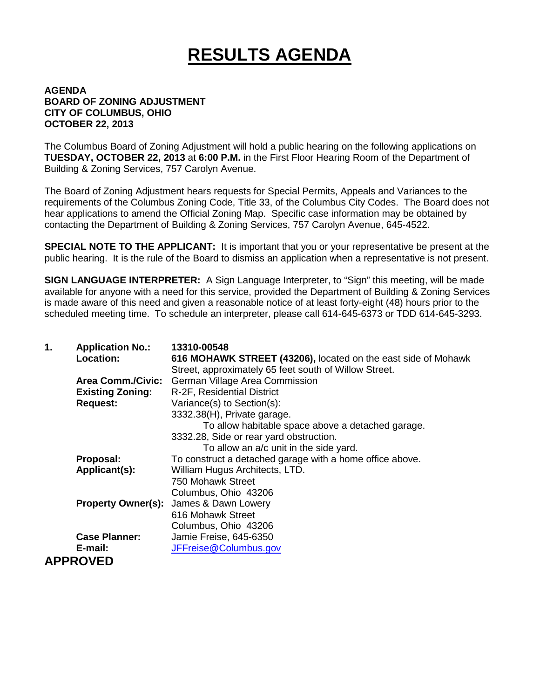## **RESULTS AGENDA**

## **AGENDA BOARD OF ZONING ADJUSTMENT CITY OF COLUMBUS, OHIO OCTOBER 22, 2013**

The Columbus Board of Zoning Adjustment will hold a public hearing on the following applications on **TUESDAY, OCTOBER 22, 2013** at **6:00 P.M.** in the First Floor Hearing Room of the Department of Building & Zoning Services, 757 Carolyn Avenue.

The Board of Zoning Adjustment hears requests for Special Permits, Appeals and Variances to the requirements of the Columbus Zoning Code, Title 33, of the Columbus City Codes. The Board does not hear applications to amend the Official Zoning Map. Specific case information may be obtained by contacting the Department of Building & Zoning Services, 757 Carolyn Avenue, 645-4522.

**SPECIAL NOTE TO THE APPLICANT:** It is important that you or your representative be present at the public hearing. It is the rule of the Board to dismiss an application when a representative is not present.

**SIGN LANGUAGE INTERPRETER:** A Sign Language Interpreter, to "Sign" this meeting, will be made available for anyone with a need for this service, provided the Department of Building & Zoning Services is made aware of this need and given a reasonable notice of at least forty-eight (48) hours prior to the scheduled meeting time. To schedule an interpreter, please call 614-645-6373 or TDD 614-645-3293.

| 1. | <b>Application No.:</b><br><b>Location:</b> | 13310-00548<br>616 MOHAWK STREET (43206), located on the east side of Mohawk<br>Street, approximately 65 feet south of Willow Street. |
|----|---------------------------------------------|---------------------------------------------------------------------------------------------------------------------------------------|
|    | <b>Area Comm./Civic:</b>                    | German Village Area Commission                                                                                                        |
|    | <b>Existing Zoning:</b>                     | R-2F, Residential District                                                                                                            |
|    | <b>Request:</b>                             | Variance(s) to Section(s):                                                                                                            |
|    |                                             | 3332.38(H), Private garage.                                                                                                           |
|    |                                             | To allow habitable space above a detached garage.                                                                                     |
|    |                                             | 3332.28, Side or rear yard obstruction.                                                                                               |
|    |                                             | To allow an a/c unit in the side yard.                                                                                                |
|    | Proposal:                                   | To construct a detached garage with a home office above.                                                                              |
|    | Applicant(s):                               | William Hugus Architects, LTD.                                                                                                        |
|    |                                             | 750 Mohawk Street                                                                                                                     |
|    |                                             | Columbus, Ohio 43206                                                                                                                  |
|    | <b>Property Owner(s):</b>                   | James & Dawn Lowery                                                                                                                   |
|    |                                             | 616 Mohawk Street                                                                                                                     |
|    |                                             | Columbus, Ohio 43206                                                                                                                  |
|    | <b>Case Planner:</b>                        | Jamie Freise, 645-6350                                                                                                                |
|    | E-mail:                                     | JFFreise@Columbus.gov                                                                                                                 |
|    | <b>APPROVED</b>                             |                                                                                                                                       |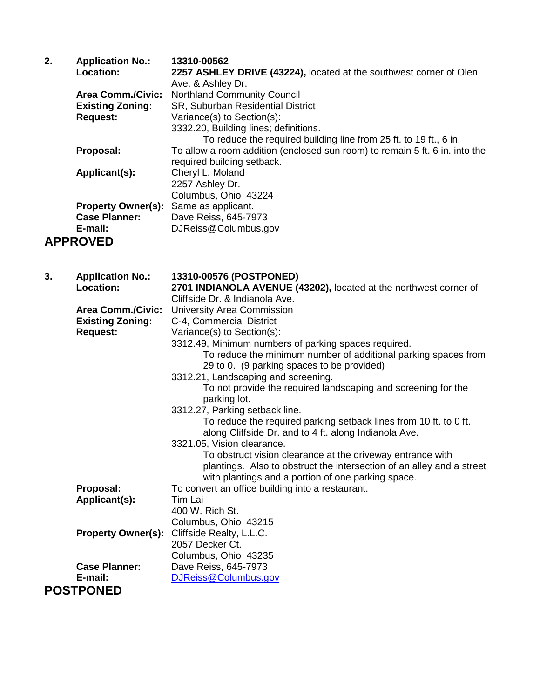| 2. | <b>Application No.:</b>   | 13310-00562                                                                 |
|----|---------------------------|-----------------------------------------------------------------------------|
|    | Location:                 | 2257 ASHLEY DRIVE (43224), located at the southwest corner of Olen          |
|    |                           | Ave. & Ashley Dr.                                                           |
|    | <b>Area Comm./Civic:</b>  | <b>Northland Community Council</b>                                          |
|    | <b>Existing Zoning:</b>   | SR, Suburban Residential District                                           |
|    | <b>Request:</b>           | Variance(s) to Section(s):                                                  |
|    |                           | 3332.20, Building lines; definitions.                                       |
|    |                           | To reduce the required building line from 25 ft. to 19 ft., 6 in.           |
|    | Proposal:                 | To allow a room addition (enclosed sun room) to remain 5 ft. 6 in. into the |
|    |                           | required building setback.                                                  |
|    | Applicant(s):             | Cheryl L. Moland                                                            |
|    |                           | 2257 Ashley Dr.                                                             |
|    |                           | Columbus, Ohio 43224                                                        |
|    | <b>Property Owner(s):</b> | Same as applicant.                                                          |
|    | <b>Case Planner:</b>      | Dave Reiss, 645-7973                                                        |
|    | E-mail:                   | DJReiss@Columbus.gov                                                        |
|    | <b>APPROVED</b>           |                                                                             |

| 3. | <b>Application No.:</b>   | 13310-00576 (POSTPONED)                                                                                                                                                                   |
|----|---------------------------|-------------------------------------------------------------------------------------------------------------------------------------------------------------------------------------------|
|    | Location:                 | 2701 INDIANOLA AVENUE (43202), located at the northwest corner of                                                                                                                         |
|    |                           | Cliffside Dr. & Indianola Ave.                                                                                                                                                            |
|    | <b>Area Comm./Civic:</b>  | University Area Commission                                                                                                                                                                |
|    | <b>Existing Zoning:</b>   | C-4, Commercial District                                                                                                                                                                  |
|    | <b>Request:</b>           | Variance(s) to Section(s):                                                                                                                                                                |
|    |                           | 3312.49, Minimum numbers of parking spaces required.                                                                                                                                      |
|    |                           | To reduce the minimum number of additional parking spaces from                                                                                                                            |
|    |                           | 29 to 0. (9 parking spaces to be provided)                                                                                                                                                |
|    |                           | 3312.21, Landscaping and screening.                                                                                                                                                       |
|    |                           | To not provide the required landscaping and screening for the<br>parking lot.                                                                                                             |
|    |                           | 3312.27, Parking setback line.                                                                                                                                                            |
|    |                           | To reduce the required parking setback lines from 10 ft. to 0 ft.<br>along Cliffside Dr. and to 4 ft. along Indianola Ave.                                                                |
|    |                           | 3321.05, Vision clearance.                                                                                                                                                                |
|    |                           | To obstruct vision clearance at the driveway entrance with<br>plantings. Also to obstruct the intersection of an alley and a street<br>with plantings and a portion of one parking space. |
|    | Proposal:                 | To convert an office building into a restaurant.                                                                                                                                          |
|    | Applicant(s):             | Tim Lai                                                                                                                                                                                   |
|    |                           | 400 W. Rich St.                                                                                                                                                                           |
|    |                           | Columbus, Ohio 43215                                                                                                                                                                      |
|    | <b>Property Owner(s):</b> | Cliffside Realty, L.L.C.                                                                                                                                                                  |
|    |                           | 2057 Decker Ct.                                                                                                                                                                           |
|    |                           | Columbus, Ohio 43235                                                                                                                                                                      |
|    | <b>Case Planner:</b>      | Dave Reiss, 645-7973                                                                                                                                                                      |
|    | E-mail:                   | DJReiss@Columbus.gov                                                                                                                                                                      |
|    | <b>POSTPONED</b>          |                                                                                                                                                                                           |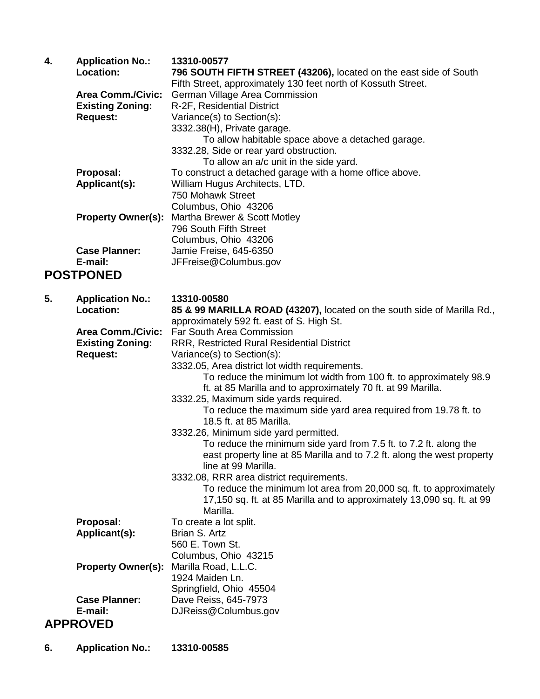| 4. | <b>Application No.:</b><br><b>Location:</b><br><b>Area Comm./Civic:</b><br><b>Existing Zoning:</b><br><b>Request:</b> | 13310-00577<br>796 SOUTH FIFTH STREET (43206), located on the east side of South<br>Fifth Street, approximately 130 feet north of Kossuth Street.<br>German Village Area Commission<br>R-2F, Residential District<br>Variance(s) to Section(s):<br>3332.38(H), Private garage.<br>To allow habitable space above a detached garage.<br>3332.28, Side or rear yard obstruction.<br>To allow an a/c unit in the side yard. |
|----|-----------------------------------------------------------------------------------------------------------------------|--------------------------------------------------------------------------------------------------------------------------------------------------------------------------------------------------------------------------------------------------------------------------------------------------------------------------------------------------------------------------------------------------------------------------|
|    | Proposal:<br>Applicant(s):                                                                                            | To construct a detached garage with a home office above.<br>William Hugus Architects, LTD.<br>750 Mohawk Street<br>Columbus, Ohio 43206                                                                                                                                                                                                                                                                                  |
|    | <b>Property Owner(s):</b>                                                                                             | Martha Brewer & Scott Motley<br>796 South Fifth Street<br>Columbus, Ohio 43206                                                                                                                                                                                                                                                                                                                                           |
|    | <b>Case Planner:</b><br>E-mail:                                                                                       | Jamie Freise, 645-6350<br>JFFreise@Columbus.gov                                                                                                                                                                                                                                                                                                                                                                          |
|    | <b>POSTPONED</b>                                                                                                      |                                                                                                                                                                                                                                                                                                                                                                                                                          |
|    |                                                                                                                       |                                                                                                                                                                                                                                                                                                                                                                                                                          |
| 5. | <b>Application No.:</b>                                                                                               | 13310-00580                                                                                                                                                                                                                                                                                                                                                                                                              |
|    | <b>Location:</b>                                                                                                      | 85 & 99 MARILLA ROAD (43207), located on the south side of Marilla Rd.,                                                                                                                                                                                                                                                                                                                                                  |
|    | <b>Area Comm./Civic:</b>                                                                                              | approximately 592 ft. east of S. High St.<br>Far South Area Commission                                                                                                                                                                                                                                                                                                                                                   |
|    | <b>Existing Zoning:</b>                                                                                               | RRR, Restricted Rural Residential District                                                                                                                                                                                                                                                                                                                                                                               |
|    | <b>Request:</b>                                                                                                       | Variance(s) to Section(s):                                                                                                                                                                                                                                                                                                                                                                                               |
|    |                                                                                                                       | 3332.05, Area district lot width requirements.                                                                                                                                                                                                                                                                                                                                                                           |
|    |                                                                                                                       | To reduce the minimum lot width from 100 ft. to approximately 98.9<br>ft. at 85 Marilla and to approximately 70 ft. at 99 Marilla.                                                                                                                                                                                                                                                                                       |
|    |                                                                                                                       | 3332.25, Maximum side yards required.                                                                                                                                                                                                                                                                                                                                                                                    |
|    |                                                                                                                       | To reduce the maximum side yard area required from 19.78 ft. to                                                                                                                                                                                                                                                                                                                                                          |
|    |                                                                                                                       | 18.5 ft. at 85 Marilla.<br>3332.26, Minimum side yard permitted.                                                                                                                                                                                                                                                                                                                                                         |
|    |                                                                                                                       | To reduce the minimum side yard from 7.5 ft. to 7.2 ft. along the                                                                                                                                                                                                                                                                                                                                                        |
|    |                                                                                                                       | east property line at 85 Marilla and to 7.2 ft. along the west property<br>line at 99 Marilla.                                                                                                                                                                                                                                                                                                                           |
|    |                                                                                                                       | 3332.08, RRR area district requirements.                                                                                                                                                                                                                                                                                                                                                                                 |
|    |                                                                                                                       | To reduce the minimum lot area from 20,000 sq. ft. to approximately<br>17,150 sq. ft. at 85 Marilla and to approximately 13,090 sq. ft. at 99<br>Marilla.                                                                                                                                                                                                                                                                |
|    | Proposal:                                                                                                             | To create a lot split.                                                                                                                                                                                                                                                                                                                                                                                                   |
|    | Applicant(s):                                                                                                         | Brian S. Artz                                                                                                                                                                                                                                                                                                                                                                                                            |
|    |                                                                                                                       | 560 E. Town St.                                                                                                                                                                                                                                                                                                                                                                                                          |
|    | <b>Property Owner(s):</b>                                                                                             | Columbus, Ohio 43215<br>Marilla Road, L.L.C.                                                                                                                                                                                                                                                                                                                                                                             |
|    |                                                                                                                       | 1924 Maiden Ln.                                                                                                                                                                                                                                                                                                                                                                                                          |
|    |                                                                                                                       | Springfield, Ohio 45504                                                                                                                                                                                                                                                                                                                                                                                                  |
|    | <b>Case Planner:</b>                                                                                                  | Dave Reiss, 645-7973                                                                                                                                                                                                                                                                                                                                                                                                     |
|    | E-mail:                                                                                                               | DJReiss@Columbus.gov                                                                                                                                                                                                                                                                                                                                                                                                     |
|    | <b>APPROVED</b>                                                                                                       |                                                                                                                                                                                                                                                                                                                                                                                                                          |

**6. Application No.: 13310-00585**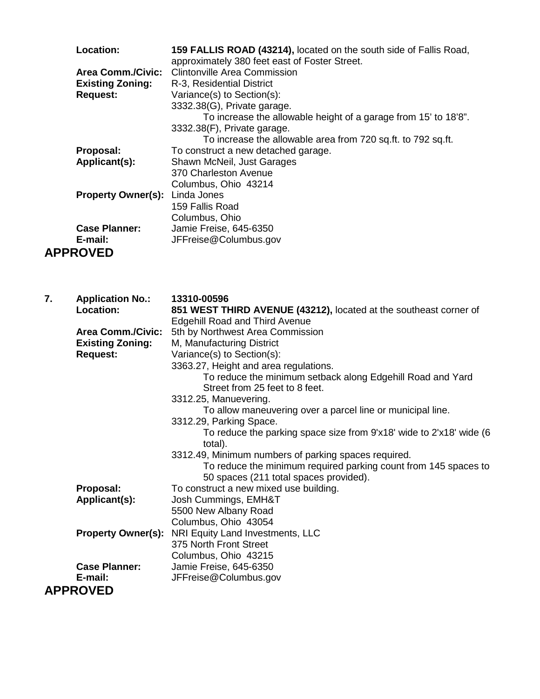| Location:                 | 159 FALLIS ROAD (43214), located on the south side of Fallis Road, |
|---------------------------|--------------------------------------------------------------------|
|                           | approximately 380 feet east of Foster Street.                      |
|                           | <b>Area Comm./Civic:</b> Clintonville Area Commission              |
| <b>Existing Zoning:</b>   | R-3, Residential District                                          |
| <b>Request:</b>           | Variance(s) to Section(s):                                         |
|                           | 3332.38(G), Private garage.                                        |
|                           | To increase the allowable height of a garage from 15' to 18'8".    |
|                           | 3332.38(F), Private garage.                                        |
|                           | To increase the allowable area from 720 sq.ft. to 792 sq.ft.       |
| Proposal:                 | To construct a new detached garage.                                |
| Applicant(s):             | Shawn McNeil, Just Garages                                         |
|                           | 370 Charleston Avenue                                              |
|                           | Columbus, Ohio 43214                                               |
| <b>Property Owner(s):</b> | Linda Jones                                                        |
|                           | 159 Fallis Road                                                    |
|                           | Columbus, Ohio                                                     |
| <b>Case Planner:</b>      | Jamie Freise, 645-6350                                             |
| E-mail:                   | JFFreise@Columbus.gov                                              |
| <b>APPROVED</b>           |                                                                    |

| 7. | <b>Application No.:</b>   | 13310-00596                                                         |
|----|---------------------------|---------------------------------------------------------------------|
|    | Location:                 | 851 WEST THIRD AVENUE (43212), located at the southeast corner of   |
|    |                           | <b>Edgehill Road and Third Avenue</b>                               |
|    | <b>Area Comm./Civic:</b>  | 5th by Northwest Area Commission                                    |
|    | <b>Existing Zoning:</b>   | M, Manufacturing District                                           |
|    | <b>Request:</b>           | Variance(s) to Section(s):                                          |
|    |                           | 3363.27, Height and area regulations.                               |
|    |                           | To reduce the minimum setback along Edgehill Road and Yard          |
|    |                           | Street from 25 feet to 8 feet.                                      |
|    |                           | 3312.25, Manuevering.                                               |
|    |                           | To allow maneuvering over a parcel line or municipal line.          |
|    |                           | 3312.29, Parking Space.                                             |
|    |                           | To reduce the parking space size from 9'x18' wide to 2'x18' wide (6 |
|    |                           | total).                                                             |
|    |                           | 3312.49, Minimum numbers of parking spaces required.                |
|    |                           | To reduce the minimum required parking count from 145 spaces to     |
|    |                           | 50 spaces (211 total spaces provided).                              |
|    | Proposal:                 | To construct a new mixed use building.                              |
|    | Applicant(s):             | Josh Cummings, EMH&T                                                |
|    |                           | 5500 New Albany Road                                                |
|    |                           | Columbus, Ohio 43054                                                |
|    | <b>Property Owner(s):</b> | NRI Equity Land Investments, LLC                                    |
|    |                           | 375 North Front Street                                              |
|    |                           | Columbus, Ohio 43215                                                |
|    | <b>Case Planner:</b>      | Jamie Freise, 645-6350                                              |
|    | E-mail:                   | JFFreise@Columbus.gov                                               |
|    | <b>APPROVED</b>           |                                                                     |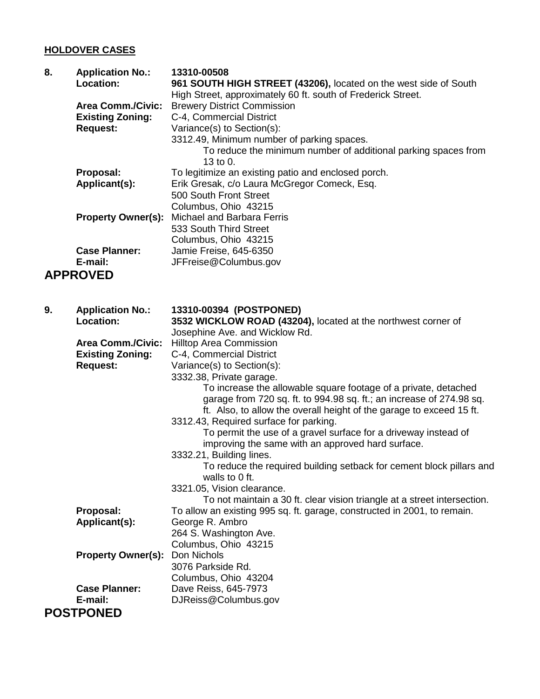## **HOLDOVER CASES**

| 8. | <b>Application No.:</b>   | 13310-00508                                                                                        |
|----|---------------------------|----------------------------------------------------------------------------------------------------|
|    | Location:                 | 961 SOUTH HIGH STREET (43206), located on the west side of South                                   |
|    | <b>Area Comm./Civic:</b>  | High Street, approximately 60 ft. south of Frederick Street.<br><b>Brewery District Commission</b> |
|    | <b>Existing Zoning:</b>   | C-4, Commercial District                                                                           |
|    |                           |                                                                                                    |
|    | <b>Request:</b>           | Variance(s) to Section(s):                                                                         |
|    |                           | 3312.49, Minimum number of parking spaces.                                                         |
|    |                           | To reduce the minimum number of additional parking spaces from                                     |
|    |                           | 13 to 0.                                                                                           |
|    | Proposal:                 | To legitimize an existing patio and enclosed porch.                                                |
|    | Applicant(s):             | Erik Gresak, c/o Laura McGregor Comeck, Esq.                                                       |
|    |                           | 500 South Front Street                                                                             |
|    |                           | Columbus, Ohio 43215                                                                               |
|    | <b>Property Owner(s):</b> | Michael and Barbara Ferris                                                                         |
|    |                           | 533 South Third Street                                                                             |
|    |                           | Columbus, Ohio 43215                                                                               |
|    | <b>Case Planner:</b>      | Jamie Freise, 645-6350                                                                             |
|    | E-mail:                   | JFFreise@Columbus.gov                                                                              |
|    | <b>APPROVED</b>           |                                                                                                    |
|    |                           |                                                                                                    |
|    |                           |                                                                                                    |
| 9. | <b>Application No.:</b>   | 13310-00394 (POSTPONED)                                                                            |
|    | <b>Location:</b>          | 3532 WICKLOW ROAD (43204), located at the northwest corner of                                      |
|    |                           | Josephine Ave. and Wicklow Rd.                                                                     |
|    | <b>Area Comm./Civic:</b>  | <b>Hilltop Area Commission</b>                                                                     |
|    | <b>Existing Zoning:</b>   | C-4, Commercial District                                                                           |
|    | <b>Request:</b>           | Variance(s) to Section(s):                                                                         |
|    |                           | 3332.38, Private garage.                                                                           |
|    |                           | To increase the allowable square footage of a private, detached                                    |
|    |                           | garage from 720 sq. ft. to 994.98 sq. ft.; an increase of 274.98 sq.                               |
|    |                           | ft. Also, to allow the overall height of the garage to exceed 15 ft.                               |
|    |                           | 3312.43, Required surface for parking.                                                             |
|    |                           | To permit the use of a gravel surface for a driveway instead of                                    |
|    |                           | improving the same with an approved hard surface.                                                  |
|    |                           | 3332.21, Building lines.                                                                           |
|    |                           | To reduce the required building setback for cement block pillars and                               |
|    |                           | walls to 0 ft.                                                                                     |
|    |                           | 3321.05, Vision clearance.                                                                         |
|    |                           | To not maintain a 30 ft. clear vision triangle at a street intersection.                           |
|    | Proposal:                 | To allow an existing 995 sq. ft. garage, constructed in 2001, to remain.                           |
|    | Applicant(s):             | George R. Ambro                                                                                    |
|    |                           | 264 S. Washington Ave.                                                                             |
|    |                           | Columbus, Ohio 43215                                                                               |
|    | <b>Property Owner(s):</b> | Don Nichols                                                                                        |
|    |                           | 3076 Parkside Rd.                                                                                  |
|    |                           | Columbus, Ohio 43204                                                                               |
|    | <b>Case Planner:</b>      | Dave Reiss, 645-7973                                                                               |
|    | E-mail:                   | DJReiss@Columbus.gov                                                                               |
|    | <b>POSTPONED</b>          |                                                                                                    |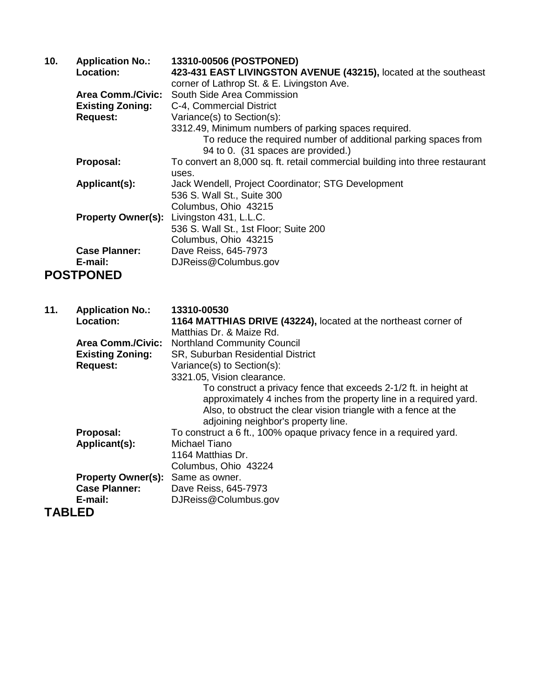| 10. | <b>Application No.:</b><br>Location:                                   | 13310-00506 (POSTPONED)<br>423-431 EAST LIVINGSTON AVENUE (43215), located at the southeast<br>corner of Lathrop St. & E. Livingston Ave.                                                                                                       |
|-----|------------------------------------------------------------------------|-------------------------------------------------------------------------------------------------------------------------------------------------------------------------------------------------------------------------------------------------|
|     | <b>Area Comm./Civic:</b><br><b>Existing Zoning:</b><br><b>Request:</b> | South Side Area Commission<br>C-4, Commercial District<br>Variance(s) to Section(s):<br>3312.49, Minimum numbers of parking spaces required.<br>To reduce the required number of additional parking spaces from                                 |
|     | Proposal:                                                              | 94 to 0. (31 spaces are provided.)<br>To convert an 8,000 sq. ft. retail commercial building into three restaurant                                                                                                                              |
|     |                                                                        | uses.                                                                                                                                                                                                                                           |
|     | Applicant(s):                                                          | Jack Wendell, Project Coordinator; STG Development<br>536 S. Wall St., Suite 300                                                                                                                                                                |
|     |                                                                        | Columbus, Ohio 43215                                                                                                                                                                                                                            |
|     | <b>Property Owner(s):</b>                                              | Livingston 431, L.L.C.                                                                                                                                                                                                                          |
|     |                                                                        | 536 S. Wall St., 1st Floor; Suite 200<br>Columbus, Ohio 43215                                                                                                                                                                                   |
|     | <b>Case Planner:</b>                                                   | Dave Reiss, 645-7973                                                                                                                                                                                                                            |
|     | E-mail:                                                                | DJReiss@Columbus.gov                                                                                                                                                                                                                            |
|     | <b>POSTPONED</b>                                                       |                                                                                                                                                                                                                                                 |
|     |                                                                        |                                                                                                                                                                                                                                                 |
| 11. | <b>Application No.:</b>                                                | 13310-00530                                                                                                                                                                                                                                     |
|     | Location:                                                              | 1164 MATTHIAS DRIVE (43224), located at the northeast corner of                                                                                                                                                                                 |
|     | <b>Area Comm./Civic:</b>                                               | Matthias Dr. & Maize Rd.<br><b>Northland Community Council</b>                                                                                                                                                                                  |
|     | <b>Existing Zoning:</b>                                                | SR, Suburban Residential District                                                                                                                                                                                                               |
|     | <b>Request:</b>                                                        | Variance(s) to Section(s):                                                                                                                                                                                                                      |
|     |                                                                        | 3321.05, Vision clearance.                                                                                                                                                                                                                      |
|     |                                                                        | To construct a privacy fence that exceeds 2-1/2 ft. in height at<br>approximately 4 inches from the property line in a required yard.<br>Also, to obstruct the clear vision triangle with a fence at the<br>adjoining neighbor's property line. |
|     | Proposal:                                                              | To construct a 6 ft., 100% opaque privacy fence in a required yard.                                                                                                                                                                             |
|     | Applicant(s):                                                          | <b>Michael Tiano</b>                                                                                                                                                                                                                            |
|     |                                                                        | 1164 Matthias Dr.                                                                                                                                                                                                                               |
|     | <b>Property Owner(s):</b>                                              | Columbus, Ohio 43224<br>Same as owner.                                                                                                                                                                                                          |
|     |                                                                        |                                                                                                                                                                                                                                                 |

**E-mail:** DJReiss@Columbus.gov **TABLED**

**Case Planner:** Dave Reiss, 645-7973